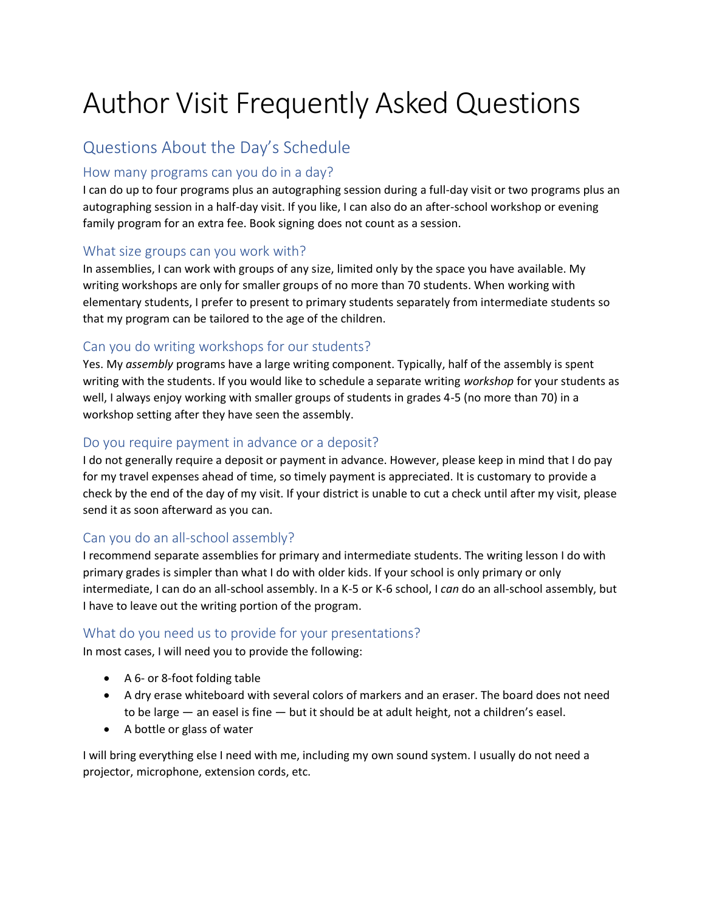# Author Visit Frequently Asked Questions

### Questions About the Day's Schedule

#### How many programs can you do in a day?

I can do up to four programs plus an autographing session during a full-day visit or two programs plus an autographing session in a half-day visit. If you like, I can also do an after-school workshop or evening family program for an extra fee. Book signing does not count as a session.

#### What size groups can you work with?

In assemblies, I can work with groups of any size, limited only by the space you have available. My writing workshops are only for smaller groups of no more than 70 students. When working with elementary students, I prefer to present to primary students separately from intermediate students so that my program can be tailored to the age of the children.

#### Can you do writing workshops for our students?

Yes. My *assembly* programs have a large writing component. Typically, half of the assembly is spent writing with the students. If you would like to schedule a separate writing *workshop* for your students as well, I always enjoy working with smaller groups of students in grades 4-5 (no more than 70) in a workshop setting after they have seen the assembly.

#### Do you require payment in advance or a deposit?

I do not generally require a deposit or payment in advance. However, please keep in mind that I do pay for my travel expenses ahead of time, so timely payment is appreciated. It is customary to provide a check by the end of the day of my visit. If your district is unable to cut a check until after my visit, please send it as soon afterward as you can.

#### Can you do an all-school assembly?

I recommend separate assemblies for primary and intermediate students. The writing lesson I do with primary grades is simpler than what I do with older kids. If your school is only primary or only intermediate, I can do an all-school assembly. In a K-5 or K-6 school, I *can* do an all-school assembly, but I have to leave out the writing portion of the program.

#### What do you need us to provide for your presentations?

In most cases, I will need you to provide the following:

- A 6- or 8-foot folding table
- A dry erase whiteboard with several colors of markers and an eraser. The board does not need to be large — an easel is fine — but it should be at adult height, not a children's easel.
- A bottle or glass of water

I will bring everything else I need with me, including my own sound system. I usually do not need a projector, microphone, extension cords, etc.